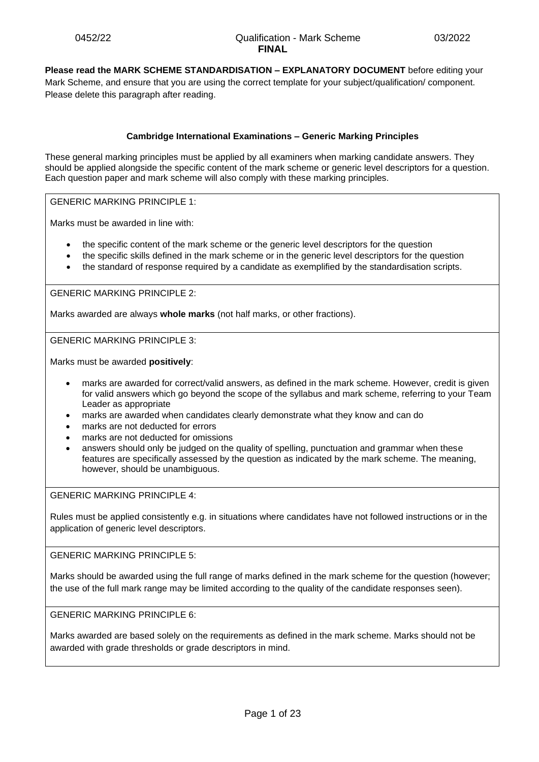**Please read the MARK SCHEME STANDARDISATION – EXPLANATORY DOCUMENT** before editing your Mark Scheme, and ensure that you are using the correct template for your subject/qualification/ component. Please delete this paragraph after reading.

## **Cambridge International Examinations – Generic Marking Principles**

These general marking principles must be applied by all examiners when marking candidate answers. They should be applied alongside the specific content of the mark scheme or generic level descriptors for a question. Each question paper and mark scheme will also comply with these marking principles.

GENERIC MARKING PRINCIPLE 1:

Marks must be awarded in line with:

- the specific content of the mark scheme or the generic level descriptors for the question
- the specific skills defined in the mark scheme or in the generic level descriptors for the question
- the standard of response required by a candidate as exemplified by the standardisation scripts.

GENERIC MARKING PRINCIPLE 2:

Marks awarded are always **whole marks** (not half marks, or other fractions).

GENERIC MARKING PRINCIPLE 3:

Marks must be awarded **positively**:

- marks are awarded for correct/valid answers, as defined in the mark scheme. However, credit is given for valid answers which go beyond the scope of the syllabus and mark scheme, referring to your Team Leader as appropriate
- marks are awarded when candidates clearly demonstrate what they know and can do
- marks are not deducted for errors
- marks are not deducted for omissions
- answers should only be judged on the quality of spelling, punctuation and grammar when these features are specifically assessed by the question as indicated by the mark scheme. The meaning, however, should be unambiguous.

GENERIC MARKING PRINCIPLE 4:

Rules must be applied consistently e.g. in situations where candidates have not followed instructions or in the application of generic level descriptors.

GENERIC MARKING PRINCIPLE 5:

Marks should be awarded using the full range of marks defined in the mark scheme for the question (however; the use of the full mark range may be limited according to the quality of the candidate responses seen).

GENERIC MARKING PRINCIPLE 6:

Marks awarded are based solely on the requirements as defined in the mark scheme. Marks should not be awarded with grade thresholds or grade descriptors in mind.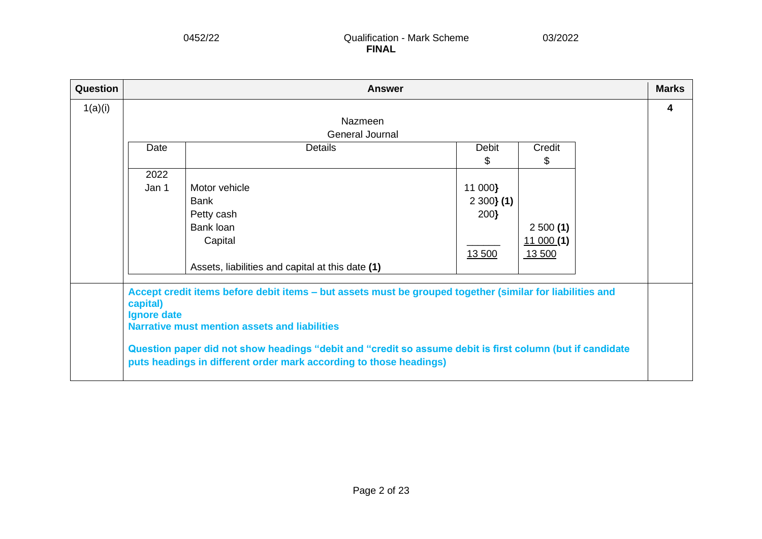| Question |                         | <b>Answer</b>                                                                                             |              |          | <b>Marks</b> |
|----------|-------------------------|-----------------------------------------------------------------------------------------------------------|--------------|----------|--------------|
| 1(a)(i)  |                         |                                                                                                           |              |          | 4            |
|          |                         | <b>Nazmeen</b>                                                                                            |              |          |              |
|          |                         | General Journal                                                                                           |              |          |              |
|          | Date                    | <b>Details</b>                                                                                            | <b>Debit</b> | Credit   |              |
|          |                         |                                                                                                           | \$           | \$       |              |
|          | 2022                    |                                                                                                           |              |          |              |
|          | Jan 1                   | Motor vehicle                                                                                             | 11 000}      |          |              |
|          |                         | Bank                                                                                                      | $2300$ (1)   |          |              |
|          |                         | Petty cash                                                                                                | 200}         |          |              |
|          |                         | Bank loan                                                                                                 |              | 2500(1)  |              |
|          |                         | Capital                                                                                                   |              | 11000(1) |              |
|          |                         |                                                                                                           | 13 500       | 13 500   |              |
|          |                         | Assets, liabilities and capital at this date (1)                                                          |              |          |              |
|          |                         |                                                                                                           |              |          |              |
|          |                         | Accept credit items before debit items - but assets must be grouped together (similar for liabilities and |              |          |              |
|          | capital)<br>Ignore date |                                                                                                           |              |          |              |
|          |                         | <b>Narrative must mention assets and liabilities</b>                                                      |              |          |              |
|          |                         |                                                                                                           |              |          |              |
|          |                         | Question paper did not show headings "debit and "credit so assume debit is first column (but if candidate |              |          |              |
|          |                         | puts headings in different order mark according to those headings)                                        |              |          |              |
|          |                         |                                                                                                           |              |          |              |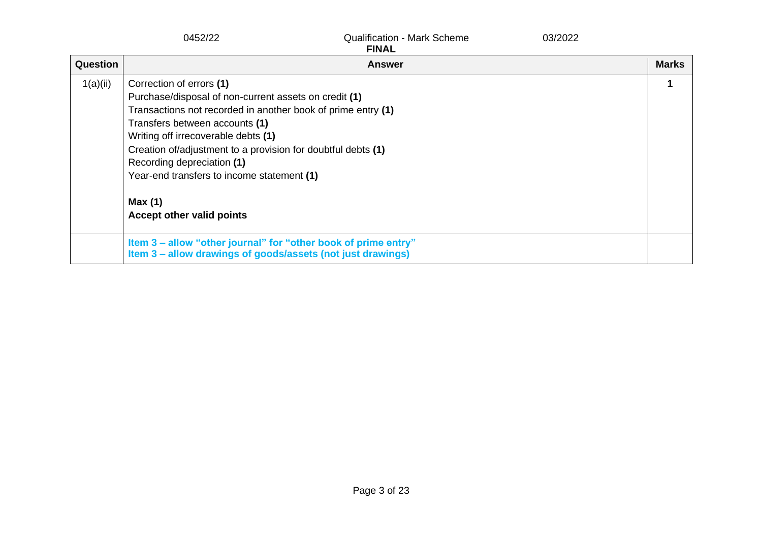|          | 0452/22                                                                                                                                                                                                                                                                                                                                                                                                       | <b>Qualification - Mark Scheme</b><br><b>FINAL</b> | 03/2022 |              |
|----------|---------------------------------------------------------------------------------------------------------------------------------------------------------------------------------------------------------------------------------------------------------------------------------------------------------------------------------------------------------------------------------------------------------------|----------------------------------------------------|---------|--------------|
| Question |                                                                                                                                                                                                                                                                                                                                                                                                               | <b>Answer</b>                                      |         | <b>Marks</b> |
| 1(a)(ii) | Correction of errors (1)<br>Purchase/disposal of non-current assets on credit (1)<br>Transactions not recorded in another book of prime entry (1)<br>Transfers between accounts (1)<br>Writing off irrecoverable debts (1)<br>Creation of/adjustment to a provision for doubtful debts (1)<br>Recording depreciation (1)<br>Year-end transfers to income statement (1)<br>Max(1)<br>Accept other valid points |                                                    |         |              |
|          | Item 3 – allow "other journal" for "other book of prime entry"<br>Item 3 - allow drawings of goods/assets (not just drawings)                                                                                                                                                                                                                                                                                 |                                                    |         |              |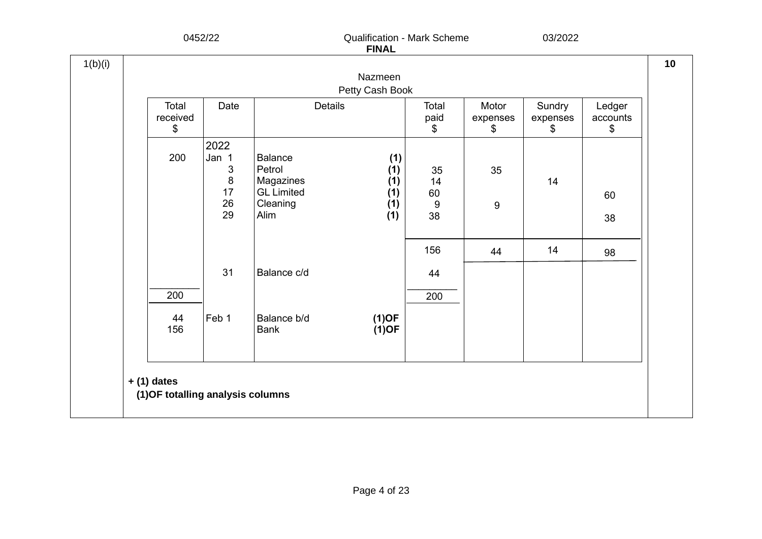|                         |                    |                                            | Nazmeen              |                              |                         |                          |                          |
|-------------------------|--------------------|--------------------------------------------|----------------------|------------------------------|-------------------------|--------------------------|--------------------------|
|                         |                    |                                            | Petty Cash Book      |                              |                         |                          |                          |
| Total<br>received<br>\$ | Date               | <b>Details</b>                             |                      | Total<br>paid<br>\$          | Motor<br>expenses<br>\$ | Sundry<br>expenses<br>\$ | Ledger<br>accounts<br>\$ |
| 200                     | 2022<br>Jan 1<br>3 | <b>Balance</b><br>Petrol                   | (1)<br>(1)           | 35                           | 35                      |                          |                          |
|                         | 8<br>17<br>26      | Magazines<br><b>GL</b> Limited<br>Cleaning | (1)<br>(1)<br>(1)    | 14<br>60<br>$\boldsymbol{9}$ | $\boldsymbol{9}$        | 14                       | 60                       |
|                         | 29                 | Alim                                       | (1)                  | 38                           |                         |                          | 38                       |
|                         |                    |                                            |                      | 156                          | 44                      | 14                       | 98                       |
|                         | 31                 | Balance c/d                                |                      | 44                           |                         |                          |                          |
| 200                     |                    |                                            |                      | 200                          |                         |                          |                          |
| 44<br>156               | Feb 1              | Balance b/d<br><b>Bank</b>                 | $(1)$ OF<br>$(1)$ OF |                              |                         |                          |                          |
|                         |                    |                                            |                      |                              |                         |                          |                          |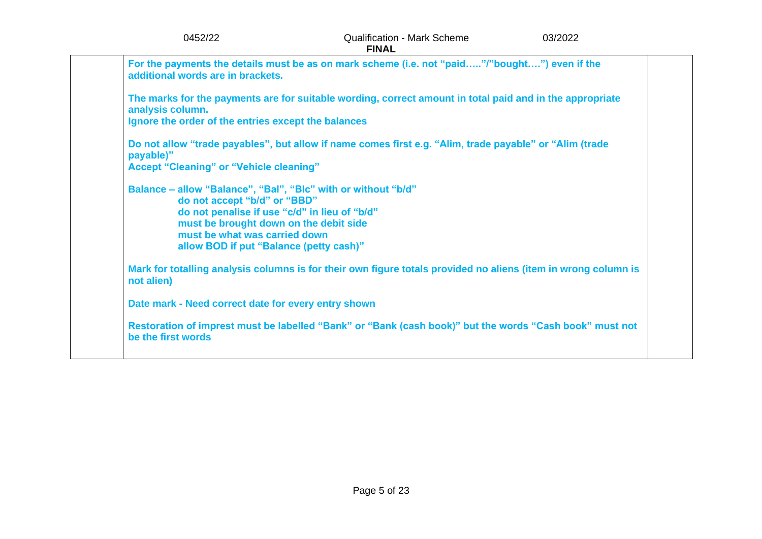| 0452/22                                                                                                                                                                                                                                                              | <b>Qualification - Mark Scheme</b><br><b>FINAL</b>                                                             | 03/2022 |
|----------------------------------------------------------------------------------------------------------------------------------------------------------------------------------------------------------------------------------------------------------------------|----------------------------------------------------------------------------------------------------------------|---------|
| additional words are in brackets.                                                                                                                                                                                                                                    | For the payments the details must be as on mark scheme (i.e. not "paid"/"bought") even if the                  |         |
| analysis column.<br>Ignore the order of the entries except the balances                                                                                                                                                                                              | The marks for the payments are for suitable wording, correct amount in total paid and in the appropriate       |         |
| payable)"<br><b>Accept "Cleaning" or "Vehicle cleaning"</b>                                                                                                                                                                                                          | Do not allow "trade payables", but allow if name comes first e.g. "Alim, trade payable" or "Alim (trade        |         |
| Balance - allow "Balance", "Bal", "Blc" with or without "b/d"<br>do not accept "b/d" or "BBD"<br>do not penalise if use "c/d" in lieu of "b/d"<br>must be brought down on the debit side<br>must be what was carried down<br>allow BOD if put "Balance (petty cash)" |                                                                                                                |         |
| not alien)                                                                                                                                                                                                                                                           | Mark for totalling analysis columns is for their own figure totals provided no aliens (item in wrong column is |         |
| Date mark - Need correct date for every entry shown                                                                                                                                                                                                                  |                                                                                                                |         |
| be the first words                                                                                                                                                                                                                                                   | Restoration of imprest must be labelled "Bank" or "Bank (cash book)" but the words "Cash book" must not        |         |
|                                                                                                                                                                                                                                                                      |                                                                                                                |         |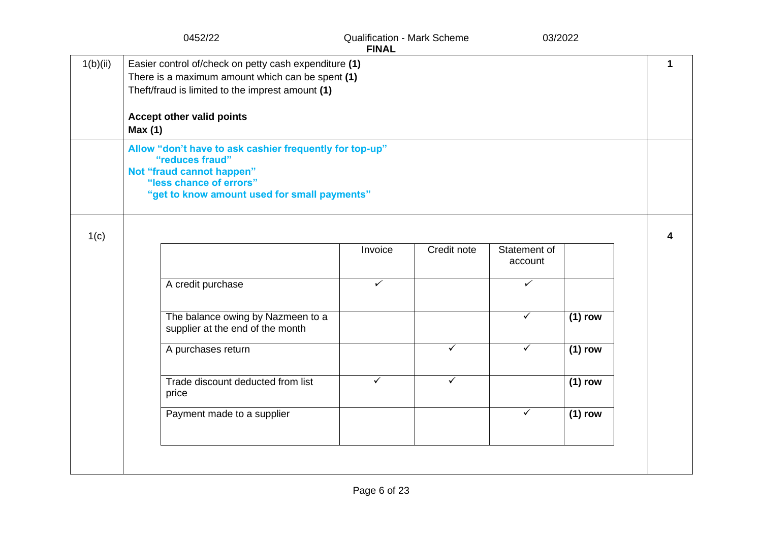|          | 0452/22                                                                                                                                                                            | <b>Qualification - Mark Scheme</b><br><b>FINAL</b> |              | 03/2022      |           |   |
|----------|------------------------------------------------------------------------------------------------------------------------------------------------------------------------------------|----------------------------------------------------|--------------|--------------|-----------|---|
| 1(b)(ii) | Easier control of/check on petty cash expenditure (1)<br>There is a maximum amount which can be spent (1)<br>Theft/fraud is limited to the imprest amount (1)                      |                                                    |              |              |           | 1 |
|          | <b>Accept other valid points</b><br>Max(1)                                                                                                                                         |                                                    |              |              |           |   |
|          | Allow "don't have to ask cashier frequently for top-up"<br>"reduces fraud"<br>Not "fraud cannot happen"<br>"less chance of errors"<br>"get to know amount used for small payments" |                                                    |              |              |           |   |
|          |                                                                                                                                                                                    |                                                    |              |              |           |   |
| 1(c)     |                                                                                                                                                                                    | Invoice                                            | Credit note  | Statement of |           |   |
|          |                                                                                                                                                                                    |                                                    |              | account      |           |   |
|          | A credit purchase                                                                                                                                                                  | $\checkmark$                                       |              | ✓            |           |   |
|          | The balance owing by Nazmeen to a<br>supplier at the end of the month                                                                                                              |                                                    |              | ✓            | $(1)$ row |   |
|          | A purchases return                                                                                                                                                                 |                                                    | ✓            | ✓            | $(1)$ row |   |
|          | Trade discount deducted from list<br>price                                                                                                                                         | ✓                                                  | $\checkmark$ |              | $(1)$ row |   |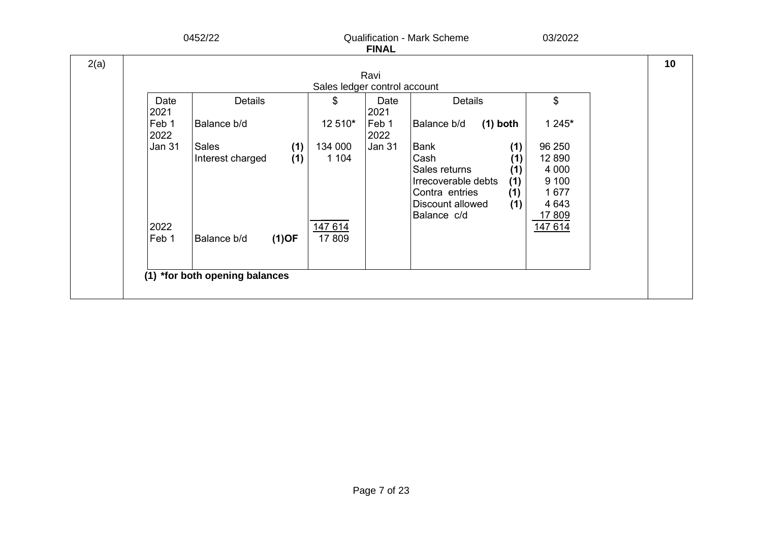|      |                                      | 0452/22                          |            |                    | <b>FINAL</b>  | <b>Qualification - Mark Scheme</b>                                                                        |                                        | 03/2022                                                   |  |
|------|--------------------------------------|----------------------------------|------------|--------------------|---------------|-----------------------------------------------------------------------------------------------------------|----------------------------------------|-----------------------------------------------------------|--|
| 2(a) | Ravi<br>Sales ledger control account |                                  |            |                    |               |                                                                                                           |                                        |                                                           |  |
|      | Date<br>2021                         | <b>Details</b>                   |            | \$                 | Date<br>2021  | <b>Details</b>                                                                                            |                                        | \$                                                        |  |
|      | Feb 1<br>2022                        | Balance b/d                      |            | 12 510*            | Feb 1<br>2022 | $(1)$ both<br>Balance b/d                                                                                 |                                        | 1 245*                                                    |  |
|      | Jan 31                               | <b>Sales</b><br>Interest charged | (1)<br>(1) | 134 000<br>1 1 0 4 | <b>Jan 31</b> | Bank<br>Cash<br>Sales returns<br>Irrecoverable debts<br>Contra entries<br>Discount allowed<br>Balance c/d | (1)<br>(1)<br>(1)<br>(1)<br>(1)<br>(1) | 96 250<br>12 8 9 0<br>4 0 0 0<br>9 100<br>1677<br>4 6 4 3 |  |
|      | 2022<br>Feb 1                        | Balance b/d                      | $(1)$ OF   | 147 614<br>17809   |               |                                                                                                           |                                        | 17 809<br>147 614                                         |  |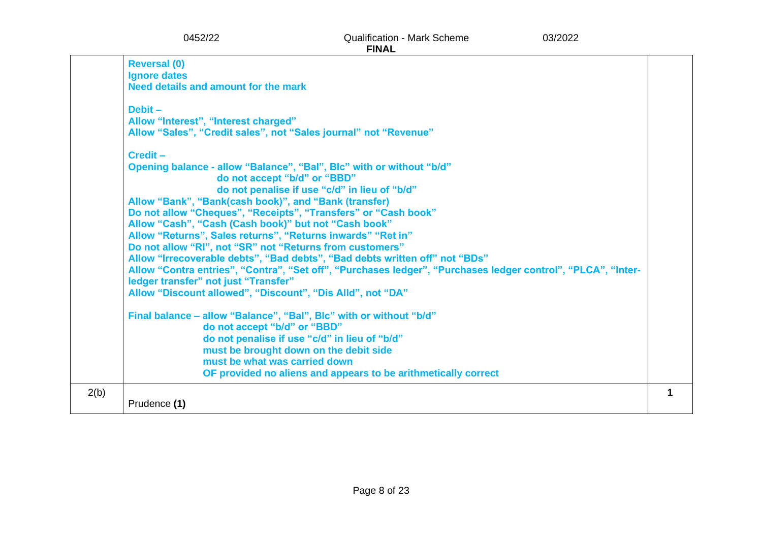|      | 0452/22                                                              | <b>Qualification - Mark Scheme</b><br><b>FINAL</b>                                                           | 03/2022 |   |
|------|----------------------------------------------------------------------|--------------------------------------------------------------------------------------------------------------|---------|---|
|      | <b>Reversal (0)</b>                                                  |                                                                                                              |         |   |
|      | <b>Ignore dates</b>                                                  |                                                                                                              |         |   |
|      | Need details and amount for the mark                                 |                                                                                                              |         |   |
|      | $Debit -$                                                            |                                                                                                              |         |   |
|      | Allow "Interest", "Interest charged"                                 |                                                                                                              |         |   |
|      | Allow "Sales", "Credit sales", not "Sales journal" not "Revenue"     |                                                                                                              |         |   |
|      | Credit-                                                              |                                                                                                              |         |   |
|      | Opening balance - allow "Balance", "Bal", Blc" with or without "b/d" |                                                                                                              |         |   |
|      | do not accept "b/d" or "BBD"                                         |                                                                                                              |         |   |
|      |                                                                      | do not penalise if use "c/d" in lieu of "b/d"                                                                |         |   |
|      | Allow "Bank", "Bank(cash book)", and "Bank (transfer)                |                                                                                                              |         |   |
|      | Do not allow "Cheques", "Receipts", "Transfers" or "Cash book"       |                                                                                                              |         |   |
|      | Allow "Cash", "Cash (Cash book)" but not "Cash book"                 |                                                                                                              |         |   |
|      | Allow "Returns", Sales returns", "Returns inwards" "Ret in"          |                                                                                                              |         |   |
|      | Do not allow "RI", not "SR" not "Returns from customers"             |                                                                                                              |         |   |
|      |                                                                      | Allow "Irrecoverable debts", "Bad debts", "Bad debts written off" not "BDs"                                  |         |   |
|      |                                                                      | Allow "Contra entries", "Contra", "Set off", "Purchases ledger", "Purchases ledger control", "PLCA", "Inter- |         |   |
|      | ledger transfer" not just "Transfer"                                 |                                                                                                              |         |   |
|      | Allow "Discount allowed", "Discount", "Dis Alld", not "DA"           |                                                                                                              |         |   |
|      | Final balance - allow "Balance", "Bal", Blc" with or without "b/d"   |                                                                                                              |         |   |
|      | do not accept "b/d" or "BBD"                                         |                                                                                                              |         |   |
|      | do not penalise if use "c/d" in lieu of "b/d"                        |                                                                                                              |         |   |
|      | must be brought down on the debit side                               |                                                                                                              |         |   |
|      | must be what was carried down                                        |                                                                                                              |         |   |
|      |                                                                      | OF provided no aliens and appears to be arithmetically correct                                               |         |   |
| 2(b) |                                                                      |                                                                                                              |         | 1 |

Prudence **(1)**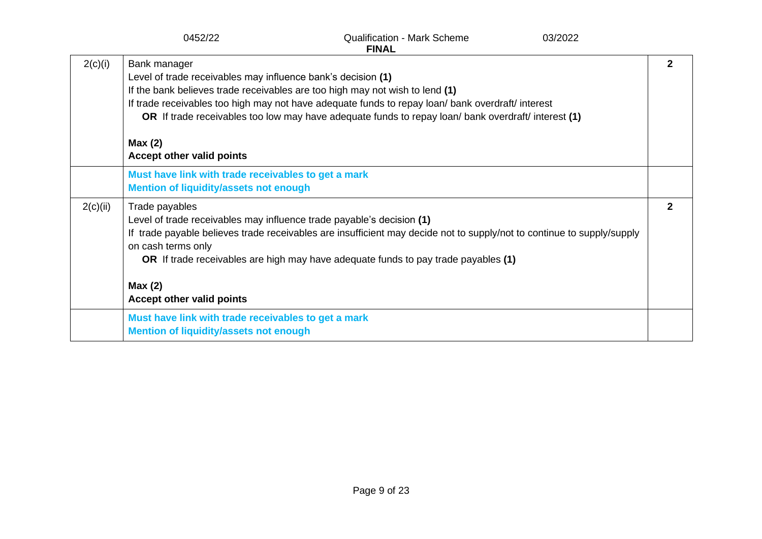|          | <b>Qualification - Mark Scheme</b><br>0452/22<br>03/2022<br><b>FINAL</b>                                                                                                                                                                                                                                                                                                                                               |              |
|----------|------------------------------------------------------------------------------------------------------------------------------------------------------------------------------------------------------------------------------------------------------------------------------------------------------------------------------------------------------------------------------------------------------------------------|--------------|
| 2(c)(i)  | Bank manager<br>Level of trade receivables may influence bank's decision (1)<br>If the bank believes trade receivables are too high may not wish to lend (1)<br>If trade receivables too high may not have adequate funds to repay loan/ bank overdraft/ interest<br>OR If trade receivables too low may have adequate funds to repay loan/ bank overdraft/ interest (1)<br>Max(2)<br><b>Accept other valid points</b> | 2            |
|          | Must have link with trade receivables to get a mark<br><b>Mention of liquidity/assets not enough</b>                                                                                                                                                                                                                                                                                                                   |              |
| 2(c)(ii) | Trade payables<br>Level of trade receivables may influence trade payable's decision (1)<br>If trade payable believes trade receivables are insufficient may decide not to supply/not to continue to supply/supply<br>on cash terms only<br>OR If trade receivables are high may have adequate funds to pay trade payables (1)                                                                                          | $\mathbf{2}$ |
|          | Max(2)<br>Accept other valid points                                                                                                                                                                                                                                                                                                                                                                                    |              |
|          | Must have link with trade receivables to get a mark<br><b>Mention of liquidity/assets not enough</b>                                                                                                                                                                                                                                                                                                                   |              |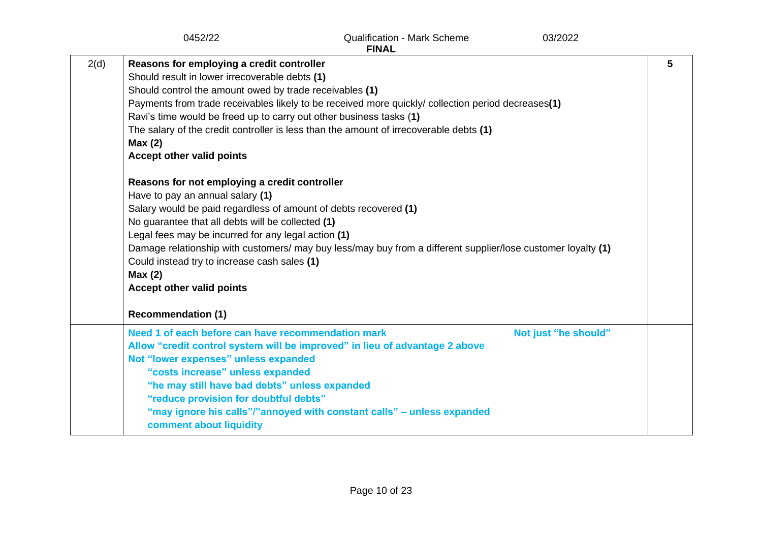|      | 0452/22                                                                                                                                                                                                                                                                                                                                                                                                                                                                                                                                                                                                                                                       | <b>Qualification - Mark Scheme</b><br><b>FINAL</b>                                                                                                                                                                                                                                                           | 03/2022              |   |
|------|---------------------------------------------------------------------------------------------------------------------------------------------------------------------------------------------------------------------------------------------------------------------------------------------------------------------------------------------------------------------------------------------------------------------------------------------------------------------------------------------------------------------------------------------------------------------------------------------------------------------------------------------------------------|--------------------------------------------------------------------------------------------------------------------------------------------------------------------------------------------------------------------------------------------------------------------------------------------------------------|----------------------|---|
| 2(d) | Reasons for employing a credit controller<br>Should result in lower irrecoverable debts (1)<br>Should control the amount owed by trade receivables (1)<br>Ravi's time would be freed up to carry out other business tasks (1)<br>Max(2)<br>Accept other valid points<br>Reasons for not employing a credit controller<br>Have to pay an annual salary (1)<br>Salary would be paid regardless of amount of debts recovered (1)<br>No guarantee that all debts will be collected (1)<br>Legal fees may be incurred for any legal action (1)<br>Could instead try to increase cash sales (1)<br>Max(2)<br>Accept other valid points<br><b>Recommendation (1)</b> | Payments from trade receivables likely to be received more quickly/ collection period decreases(1)<br>The salary of the credit controller is less than the amount of irrecoverable debts (1)<br>Damage relationship with customers/ may buy less/may buy from a different supplier/lose customer loyalty (1) |                      | 5 |
|      | Need 1 of each before can have recommendation mark<br>Not "lower expenses" unless expanded<br>"costs increase" unless expanded<br>"he may still have bad debts" unless expanded<br>"reduce provision for doubtful debts"<br>comment about liquidity                                                                                                                                                                                                                                                                                                                                                                                                           | Allow "credit control system will be improved" in lieu of advantage 2 above<br>"may ignore his calls"/"annoyed with constant calls" - unless expanded                                                                                                                                                        | Not just "he should" |   |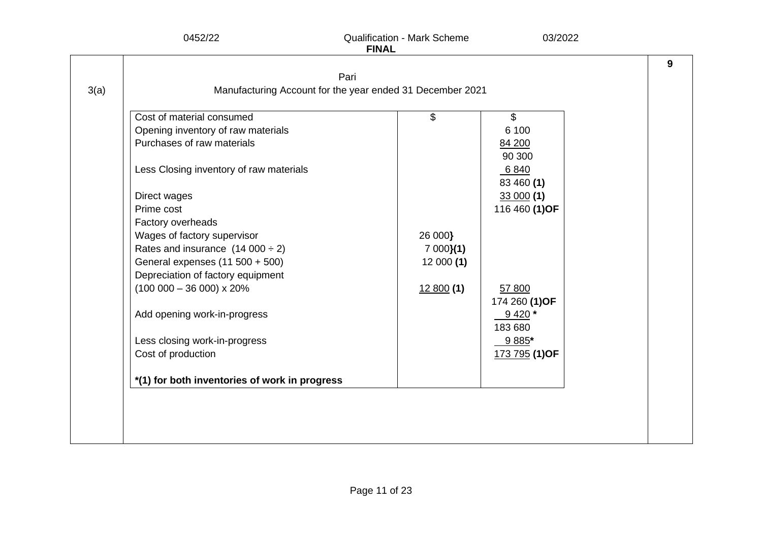|      | Pari                                                      |          |                |  |
|------|-----------------------------------------------------------|----------|----------------|--|
| 3(a) | Manufacturing Account for the year ended 31 December 2021 |          |                |  |
|      | Cost of material consumed                                 | \$       | $\mathfrak{S}$ |  |
|      | Opening inventory of raw materials                        |          | 6 100          |  |
|      | Purchases of raw materials                                |          | 84 200         |  |
|      |                                                           |          | 90 300         |  |
|      | Less Closing inventory of raw materials                   |          | 6 8 4 0        |  |
|      |                                                           |          | 83 460 (1)     |  |
|      | Direct wages                                              |          | 33000(1)       |  |
|      | Prime cost                                                |          | 116 460 (1) OF |  |
|      | Factory overheads                                         |          |                |  |
|      | Wages of factory supervisor                               | 26 000}  |                |  |
|      | Rates and insurance $(14\ 000 \div 2)$                    | 7000(1)  |                |  |
|      | General expenses (11 500 + 500)                           | 12000(1) |                |  |
|      | Depreciation of factory equipment                         |          |                |  |
|      | $(100000 - 36000) \times 20\%$                            | 12800(1) | 57 800         |  |
|      |                                                           |          | 174 260 (1) OF |  |
|      | Add opening work-in-progress                              |          | $9420*$        |  |
|      |                                                           |          | 183 680        |  |
|      | Less closing work-in-progress                             |          | 9 885*         |  |
|      | Cost of production                                        |          | 173 795 (1) OF |  |
|      | *(1) for both inventories of work in progress             |          |                |  |
|      |                                                           |          |                |  |
|      |                                                           |          |                |  |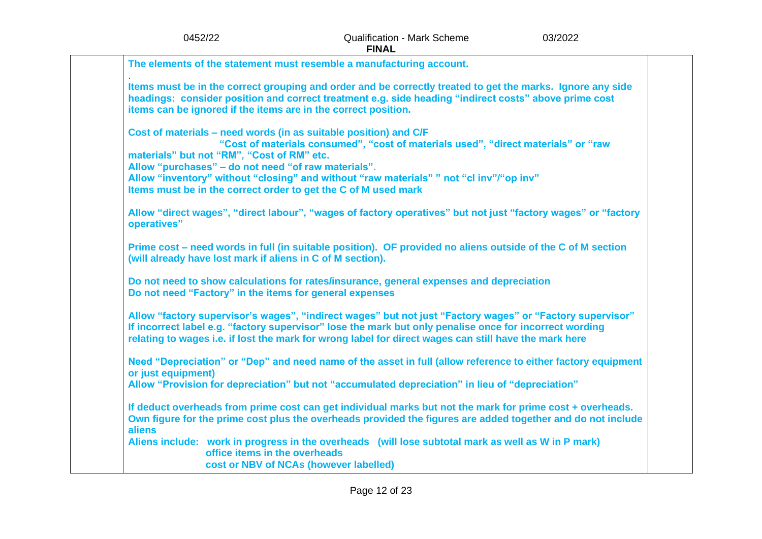| <b>FINAL</b>                                                                                                                                                                                                                                                                                                                  |  |
|-------------------------------------------------------------------------------------------------------------------------------------------------------------------------------------------------------------------------------------------------------------------------------------------------------------------------------|--|
| The elements of the statement must resemble a manufacturing account.                                                                                                                                                                                                                                                          |  |
| Items must be in the correct grouping and order and be correctly treated to get the marks. Ignore any side<br>headings: consider position and correct treatment e.g. side heading "indirect costs" above prime cost<br>items can be ignored if the items are in the correct position.                                         |  |
| Cost of materials – need words (in as suitable position) and C/F<br>"Cost of materials consumed", "cost of materials used", "direct materials" or "raw<br>materials" but not "RM", "Cost of RM" etc.<br>Allow "purchases" - do not need "of raw materials".                                                                   |  |
| Allow "inventory" without "closing" and without "raw materials" " not "cl inv"/"op inv"<br>Items must be in the correct order to get the C of M used mark                                                                                                                                                                     |  |
| Allow "direct wages", "direct labour", "wages of factory operatives" but not just "factory wages" or "factory<br>operatives"                                                                                                                                                                                                  |  |
| Prime cost – need words in full (in suitable position). OF provided no aliens outside of the C of M section<br>(will already have lost mark if aliens in C of M section).                                                                                                                                                     |  |
| Do not need to show calculations for rates/insurance, general expenses and depreciation<br>Do not need "Factory" in the items for general expenses                                                                                                                                                                            |  |
| Allow "factory supervisor's wages", "indirect wages" but not just "Factory wages" or "Factory supervisor"<br>If incorrect label e.g. "factory supervisor" lose the mark but only penalise once for incorrect wording<br>relating to wages i.e. if lost the mark for wrong label for direct wages can still have the mark here |  |
| Need "Depreciation" or "Dep" and need name of the asset in full (allow reference to either factory equipment<br>or just equipment)<br>Allow "Provision for depreciation" but not "accumulated depreciation" in lieu of "depreciation"                                                                                         |  |
| If deduct overheads from prime cost can get individual marks but not the mark for prime cost + overheads.<br>Own figure for the prime cost plus the overheads provided the figures are added together and do not include<br>aliens                                                                                            |  |

**Aliens include: work in progress in the overheads (will lose subtotal mark as well as W in P mark) office items in the overheads cost or NBV of NCAs (however labelled)**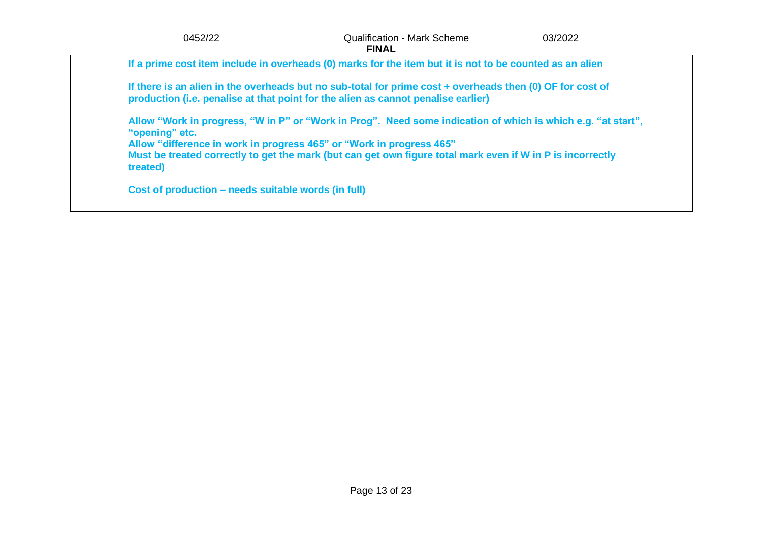| 0452/22                                                                                            | <b>Qualification - Mark Scheme</b><br><b>FINAL</b>                                                                                                                                                                         | 03/2022 |
|----------------------------------------------------------------------------------------------------|----------------------------------------------------------------------------------------------------------------------------------------------------------------------------------------------------------------------------|---------|
|                                                                                                    | If a prime cost item include in overheads (0) marks for the item but it is not to be counted as an alien                                                                                                                   |         |
|                                                                                                    | If there is an alien in the overheads but no sub-total for prime cost + overheads then (0) OF for cost of<br>production (i.e. penalise at that point for the alien as cannot penalise earlier)                             |         |
| "opening" etc.<br>Allow "difference in work in progress 465" or "Work in progress 465"<br>treated) | Allow "Work in progress, "W in P" or "Work in Prog". Need some indication of which is which e.g. "at start",<br>Must be treated correctly to get the mark (but can get own figure total mark even if W in P is incorrectly |         |
| Cost of production – needs suitable words (in full)                                                |                                                                                                                                                                                                                            |         |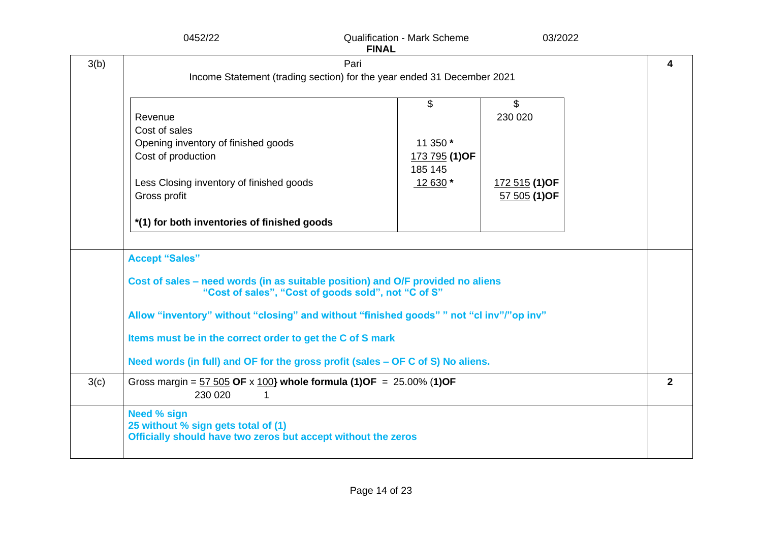|      | 0452/22                                                                                                                                                                                                                                                                                                                                                                                                     | <b>Qualification - Mark Scheme</b><br><b>FINAL</b>                             | 03/2022                                                                 |                |
|------|-------------------------------------------------------------------------------------------------------------------------------------------------------------------------------------------------------------------------------------------------------------------------------------------------------------------------------------------------------------------------------------------------------------|--------------------------------------------------------------------------------|-------------------------------------------------------------------------|----------------|
| 3(b) |                                                                                                                                                                                                                                                                                                                                                                                                             | Pari<br>Income Statement (trading section) for the year ended 31 December 2021 |                                                                         | 4              |
|      | Revenue<br>Cost of sales<br>Opening inventory of finished goods<br>Cost of production<br>Less Closing inventory of finished goods<br>Gross profit<br>*(1) for both inventories of finished goods                                                                                                                                                                                                            | \$<br>11 350 *<br>173 795 (1) OF<br>185 145<br>12 630 *                        | $\boldsymbol{\mathsf{S}}$<br>230 020<br>172 515 (1) OF<br>57 505 (1) OF |                |
|      | <b>Accept "Sales"</b><br>Cost of sales – need words (in as suitable position) and O/F provided no aliens<br>"Cost of sales", "Cost of goods sold", not "C of S"<br>Allow "inventory" without "closing" and without "finished goods" " not "cl inv"/"op inv"<br>Items must be in the correct order to get the C of S mark<br>Need words (in full) and OF for the gross profit (sales - OF C of S) No aliens. |                                                                                |                                                                         |                |
| 3(c) | Gross margin = $57\,505$ OF x 100} whole formula (1)OF = 25.00% (1)OF<br>230 020<br>1                                                                                                                                                                                                                                                                                                                       |                                                                                |                                                                         | $\overline{2}$ |
|      | <b>Need % sign</b><br>25 without % sign gets total of (1)<br>Officially should have two zeros but accept without the zeros                                                                                                                                                                                                                                                                                  |                                                                                |                                                                         |                |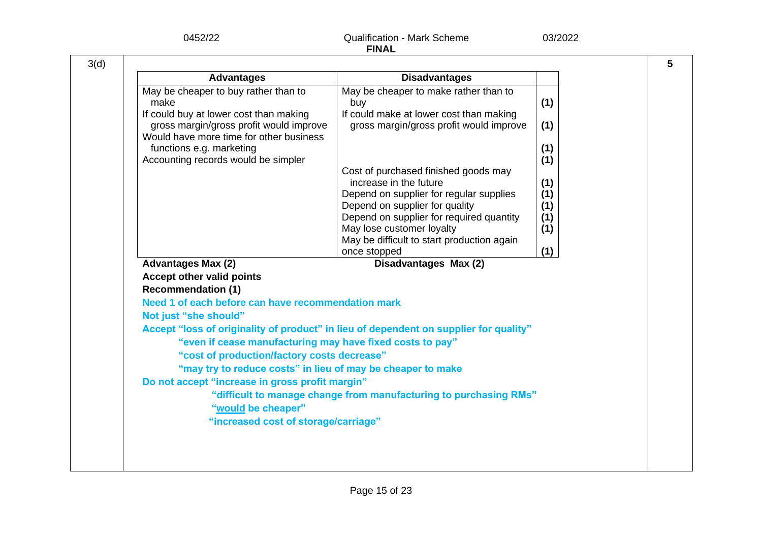| 0452/22                                                                                                                                                                                                                                         | <b>Qualification - Mark Scheme</b><br><b>FINAL</b>                                                                                                                                                                                                                                                                                                         | 03/2022                                                     |
|-------------------------------------------------------------------------------------------------------------------------------------------------------------------------------------------------------------------------------------------------|------------------------------------------------------------------------------------------------------------------------------------------------------------------------------------------------------------------------------------------------------------------------------------------------------------------------------------------------------------|-------------------------------------------------------------|
|                                                                                                                                                                                                                                                 |                                                                                                                                                                                                                                                                                                                                                            |                                                             |
| <b>Advantages</b>                                                                                                                                                                                                                               | <b>Disadvantages</b>                                                                                                                                                                                                                                                                                                                                       |                                                             |
| May be cheaper to buy rather than to<br>make<br>If could buy at lower cost than making<br>gross margin/gross profit would improve<br>Would have more time for other business<br>functions e.g. marketing<br>Accounting records would be simpler | May be cheaper to make rather than to<br>buy<br>If could make at lower cost than making<br>gross margin/gross profit would improve<br>Cost of purchased finished goods may<br>increase in the future<br>Depend on supplier for regular supplies<br>Depend on supplier for quality<br>Depend on supplier for required quantity<br>May lose customer loyalty | (1)<br>(1)<br>(1)<br>(1)<br>(1)<br>(1)<br>(1)<br>(1)<br>(1) |
|                                                                                                                                                                                                                                                 | May be difficult to start production again<br>once stopped                                                                                                                                                                                                                                                                                                 | (1)                                                         |
| <b>Advantages Max (2)</b>                                                                                                                                                                                                                       | Disadvantages Max (2)                                                                                                                                                                                                                                                                                                                                      |                                                             |
| <b>Accept other valid points</b><br><b>Recommendation (1)</b>                                                                                                                                                                                   |                                                                                                                                                                                                                                                                                                                                                            |                                                             |
| Need 1 of each before can have recommendation mark                                                                                                                                                                                              |                                                                                                                                                                                                                                                                                                                                                            |                                                             |
| Not just "she should"                                                                                                                                                                                                                           |                                                                                                                                                                                                                                                                                                                                                            |                                                             |
| "even if cease manufacturing may have fixed costs to pay"<br>"cost of production/factory costs decrease"<br>"may try to reduce costs" in lieu of may be cheaper to make                                                                         | Accept "loss of originality of product" in lieu of dependent on supplier for quality"                                                                                                                                                                                                                                                                      |                                                             |
| Do not accept "increase in gross profit margin"<br>"would be cheaper"                                                                                                                                                                           | "difficult to manage change from manufacturing to purchasing RMs"                                                                                                                                                                                                                                                                                          |                                                             |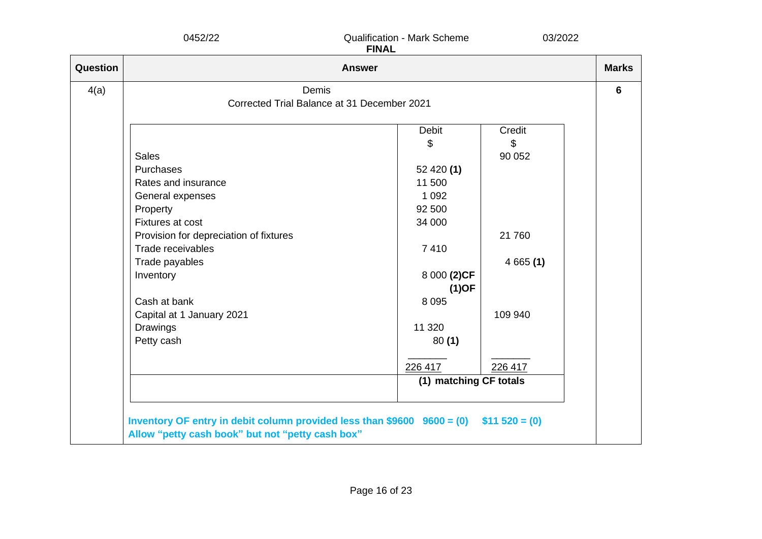|          | 0452/22                                | <b>Qualification - Mark Scheme</b><br><b>FINAL</b> | 03/2022      |  |  |  |  |
|----------|----------------------------------------|----------------------------------------------------|--------------|--|--|--|--|
| Question |                                        | <b>Answer</b>                                      | <b>Marks</b> |  |  |  |  |
| 4(a)     | Demis                                  |                                                    |              |  |  |  |  |
|          |                                        | Corrected Trial Balance at 31 December 2021        |              |  |  |  |  |
|          |                                        | <b>Debit</b>                                       | Credit       |  |  |  |  |
|          |                                        | \$                                                 | \$           |  |  |  |  |
|          | <b>Sales</b>                           |                                                    | 90 052       |  |  |  |  |
|          | Purchases                              | 52 420 $(1)$                                       |              |  |  |  |  |
|          | Rates and insurance                    | 11 500                                             |              |  |  |  |  |
|          | General expenses                       | 1 0 9 2                                            |              |  |  |  |  |
|          | Property                               | 92 500                                             |              |  |  |  |  |
|          | Fixtures at cost                       | 34 000                                             |              |  |  |  |  |
|          | Provision for depreciation of fixtures |                                                    | 21 760       |  |  |  |  |
|          | Trade receivables                      | 7410                                               |              |  |  |  |  |
|          | Trade payables                         |                                                    | 4665(1)      |  |  |  |  |
|          | Inventory                              | 8 000 (2)CF                                        |              |  |  |  |  |
|          |                                        | $(1)$ OF                                           |              |  |  |  |  |
|          | Cash at bank                           | 8 0 9 5                                            |              |  |  |  |  |
|          | Capital at 1 January 2021              |                                                    | 109 940      |  |  |  |  |
|          | Drawings                               | 11 320                                             |              |  |  |  |  |
|          | Petty cash                             | 80(1)                                              |              |  |  |  |  |
|          |                                        |                                                    |              |  |  |  |  |
|          |                                        | 226 417                                            | 226 417      |  |  |  |  |
|          |                                        | (1) matching CF totals                             |              |  |  |  |  |
|          |                                        |                                                    |              |  |  |  |  |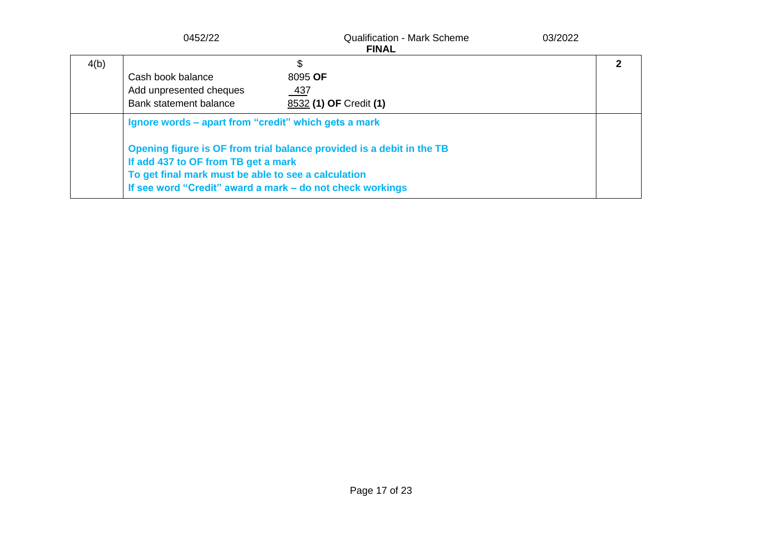|      | 0452/22                                                                                                                                            | <b>Qualification - Mark Scheme</b><br><b>FINAL</b>                                                                                 | 03/2022 |  |
|------|----------------------------------------------------------------------------------------------------------------------------------------------------|------------------------------------------------------------------------------------------------------------------------------------|---------|--|
| 4(b) | Cash book balance<br>Add unpresented cheques<br>Bank statement balance                                                                             | \$<br>8095 OF<br>437<br>8532 (1) OF Credit (1)                                                                                     |         |  |
|      | Ignore words – apart from "credit" which gets a mark<br>If add 437 to OF from TB get a mark<br>To get final mark must be able to see a calculation | Opening figure is OF from trial balance provided is a debit in the TB<br>If see word "Credit" award a mark – do not check workings |         |  |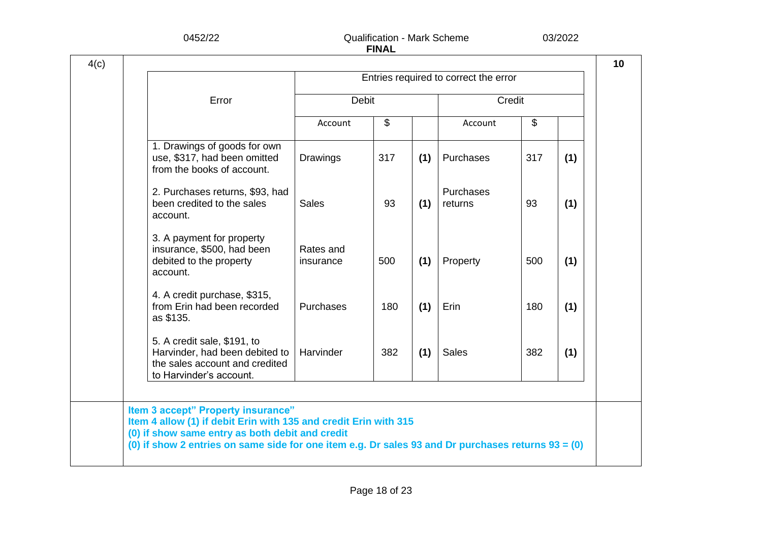| Error                                                                                                                      |                        |              |     |                      |                           |     |
|----------------------------------------------------------------------------------------------------------------------------|------------------------|--------------|-----|----------------------|---------------------------|-----|
|                                                                                                                            |                        | <b>Debit</b> |     | Credit               |                           |     |
|                                                                                                                            | Account                | \$           |     | Account              | $\boldsymbol{\mathsf{S}}$ |     |
| 1. Drawings of goods for own<br>use, \$317, had been omitted<br>from the books of account.                                 | Drawings               | 317          | (1) | Purchases            | 317                       | (1) |
| 2. Purchases returns, \$93, had<br>been credited to the sales<br>account.                                                  | <b>Sales</b>           | 93           | (1) | Purchases<br>returns | 93                        | (1) |
| 3. A payment for property<br>insurance, \$500, had been<br>debited to the property<br>account.                             | Rates and<br>insurance | 500          | (1) | Property             | 500                       | (1) |
| 4. A credit purchase, \$315,<br>from Erin had been recorded<br>as \$135.                                                   | Purchases              | 180          | (1) | Erin                 | 180                       | (1) |
| 5. A credit sale, \$191, to<br>Harvinder, had been debited to<br>the sales account and credited<br>to Harvinder's account. | Harvinder              | 382          | (1) | <b>Sales</b>         | 382                       | (1) |
|                                                                                                                            |                        |              |     |                      |                           |     |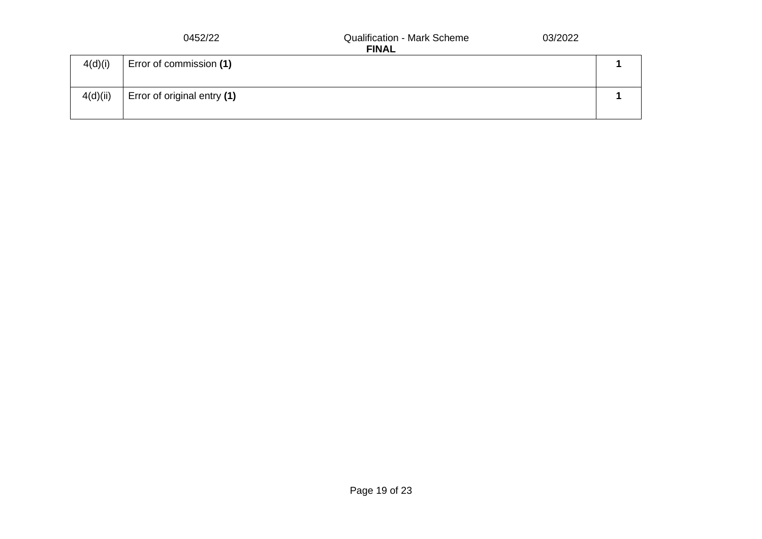|          | 0452/22                     | 03/2022<br><b>Qualification - Mark Scheme</b><br><b>FINAL</b> |  |
|----------|-----------------------------|---------------------------------------------------------------|--|
| 4(d)(i)  | Error of commission (1)     |                                                               |  |
| 4(d)(ii) | Error of original entry (1) |                                                               |  |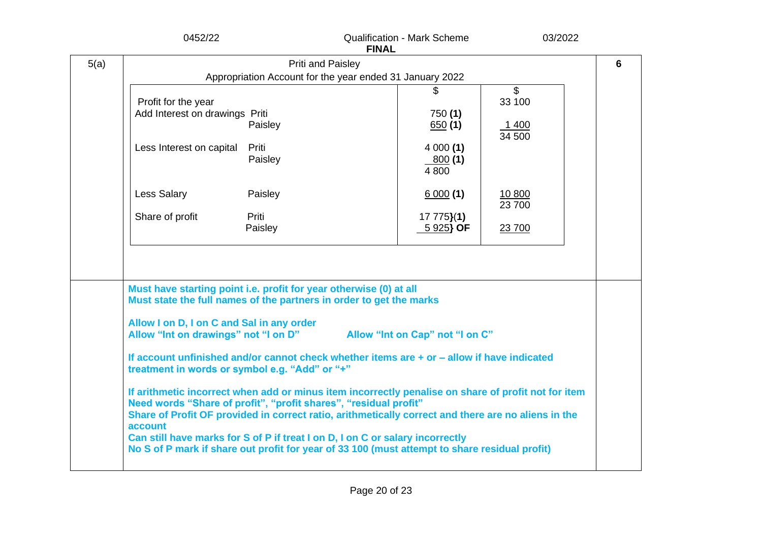|      | 0452/22                                                                                                                                                                                                                                                                                                                                                                    |                   | <b>FINAL</b> | <b>Qualification - Mark Scheme</b> | 03/2022                 |   |
|------|----------------------------------------------------------------------------------------------------------------------------------------------------------------------------------------------------------------------------------------------------------------------------------------------------------------------------------------------------------------------------|-------------------|--------------|------------------------------------|-------------------------|---|
| 5(a) |                                                                                                                                                                                                                                                                                                                                                                            | Priti and Paisley |              |                                    |                         | 6 |
|      | Appropriation Account for the year ended 31 January 2022                                                                                                                                                                                                                                                                                                                   |                   |              |                                    |                         |   |
|      | Profit for the year<br>Add Interest on drawings Priti                                                                                                                                                                                                                                                                                                                      | Paisley           |              | 750(1)<br>650(1)                   | $\mathsf{\$}$<br>33 100 |   |
|      |                                                                                                                                                                                                                                                                                                                                                                            |                   |              |                                    | <u>1400</u><br>34 500   |   |
|      | Less Interest on capital                                                                                                                                                                                                                                                                                                                                                   | Priti<br>Paisley  |              | 4000(1)<br><u>800</u> (1)<br>4 800 |                         |   |
|      | Less Salary                                                                                                                                                                                                                                                                                                                                                                | Paisley           |              | 6000(1)                            | 10 800<br>23 700        |   |
|      | Share of profit                                                                                                                                                                                                                                                                                                                                                            | Priti<br>Paisley  |              | $17775}(1)$<br>$5925$ OF           | 23 700                  |   |
|      |                                                                                                                                                                                                                                                                                                                                                                            |                   |              |                                    |                         |   |
|      | Must have starting point i.e. profit for year otherwise (0) at all<br>Must state the full names of the partners in order to get the marks<br>Allow I on D, I on C and Sal in any order                                                                                                                                                                                     |                   |              |                                    |                         |   |
|      | Allow "Int on drawings" not "I on D"<br>If account unfinished and/or cannot check whether items are + or - allow if have indicated<br>treatment in words or symbol e.g. "Add" or "+"                                                                                                                                                                                       |                   |              | Allow "Int on Cap" not "I on C"    |                         |   |
|      | If arithmetic incorrect when add or minus item incorrectly penalise on share of profit not for item<br>Need words "Share of profit", "profit shares", "residual profit"<br>Share of Profit OF provided in correct ratio, arithmetically correct and there are no aliens in the<br>account<br>Can still have marks for S of P if treat I on D, I on C or salary incorrectly |                   |              |                                    |                         |   |
|      | No S of P mark if share out profit for year of 33 100 (must attempt to share residual profit)                                                                                                                                                                                                                                                                              |                   |              |                                    |                         |   |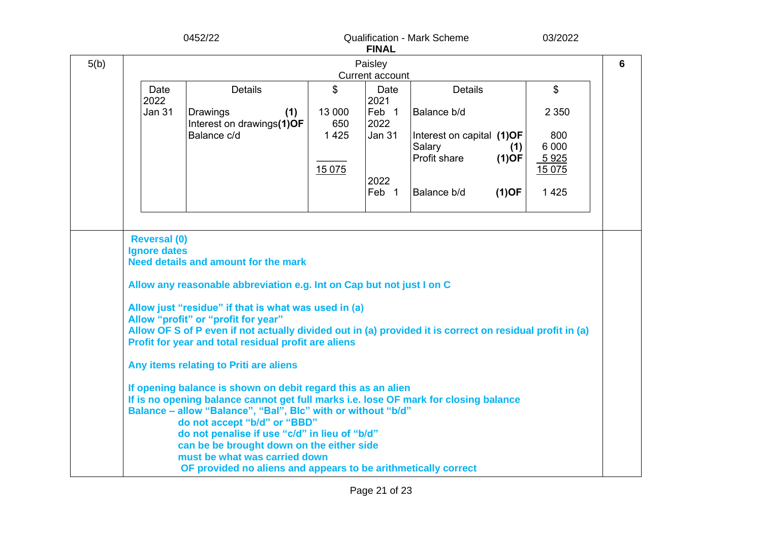|      |                            | 0452/22                                                                                                                                                                                                                                                                                                                                                                                                                                                                                                                                                                                                                                                                                                                                                                                                                                                                                    |               | <b>FINAL</b>  | <b>Qualification - Mark Scheme</b>  |          | 03/2022        |                 |
|------|----------------------------|--------------------------------------------------------------------------------------------------------------------------------------------------------------------------------------------------------------------------------------------------------------------------------------------------------------------------------------------------------------------------------------------------------------------------------------------------------------------------------------------------------------------------------------------------------------------------------------------------------------------------------------------------------------------------------------------------------------------------------------------------------------------------------------------------------------------------------------------------------------------------------------------|---------------|---------------|-------------------------------------|----------|----------------|-----------------|
| 5(b) | Paisley<br>Current account |                                                                                                                                                                                                                                                                                                                                                                                                                                                                                                                                                                                                                                                                                                                                                                                                                                                                                            |               |               |                                     |          |                | $6\phantom{1}6$ |
|      | Date<br>2022               | <b>Details</b>                                                                                                                                                                                                                                                                                                                                                                                                                                                                                                                                                                                                                                                                                                                                                                                                                                                                             | \$            | Date<br>2021  | <b>Details</b>                      |          | \$             |                 |
|      | <b>Jan 31</b>              | Drawings<br>(1)<br>Interest on drawings(1)OF                                                                                                                                                                                                                                                                                                                                                                                                                                                                                                                                                                                                                                                                                                                                                                                                                                               | 13 000<br>650 | Feb 1<br>2022 | Balance b/d                         |          | 2 3 5 0        |                 |
|      |                            | Balance c/d                                                                                                                                                                                                                                                                                                                                                                                                                                                                                                                                                                                                                                                                                                                                                                                                                                                                                | 1425          | <b>Jan 31</b> | Interest on capital (1)OF<br>Salary | (1)      | 800<br>6 0 0 0 |                 |
|      |                            |                                                                                                                                                                                                                                                                                                                                                                                                                                                                                                                                                                                                                                                                                                                                                                                                                                                                                            | 15 075        |               | Profit share                        | $(1)$ OF | 5925<br>15 075 |                 |
|      |                            |                                                                                                                                                                                                                                                                                                                                                                                                                                                                                                                                                                                                                                                                                                                                                                                                                                                                                            |               | 2022<br>Feb 1 | Balance b/d                         | $(1)$ OF | 1 4 2 5        |                 |
|      |                            |                                                                                                                                                                                                                                                                                                                                                                                                                                                                                                                                                                                                                                                                                                                                                                                                                                                                                            |               |               |                                     |          |                |                 |
|      | <b>Ignore dates</b>        | <b>Need details and amount for the mark</b><br>Allow any reasonable abbreviation e.g. Int on Cap but not just I on C<br>Allow just "residue" if that is what was used in (a)<br>Allow "profit" or "profit for year"<br>Allow OF S of P even if not actually divided out in (a) provided it is correct on residual profit in (a)<br>Profit for year and total residual profit are aliens<br>Any items relating to Priti are aliens<br>If opening balance is shown on debit regard this as an alien<br>If is no opening balance cannot get full marks i.e. lose OF mark for closing balance<br>Balance - allow "Balance", "Bal", Blc" with or without "b/d"<br>do not accept "b/d" or "BBD"<br>do not penalise if use "c/d" in lieu of "b/d"<br>can be be brought down on the either side<br>must be what was carried down<br>OF provided no aliens and appears to be arithmetically correct |               |               |                                     |          |                |                 |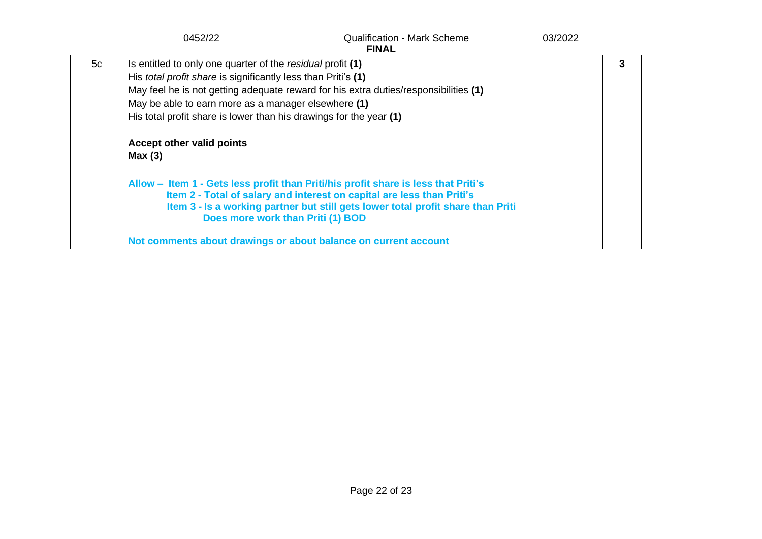|    | 0452/22                                                                                                                                                                                                                                                                                                | <b>Qualification - Mark Scheme</b><br><b>FINAL</b>                                                                                                                                                                                                                                                                                                       | 03/2022 |  |
|----|--------------------------------------------------------------------------------------------------------------------------------------------------------------------------------------------------------------------------------------------------------------------------------------------------------|----------------------------------------------------------------------------------------------------------------------------------------------------------------------------------------------------------------------------------------------------------------------------------------------------------------------------------------------------------|---------|--|
| 5c | Is entitled to only one quarter of the residual profit (1)<br>His <i>total profit share</i> is significantly less than Priti's (1)<br>May be able to earn more as a manager elsewhere (1)<br>His total profit share is lower than his drawings for the year (1)<br>Accept other valid points<br>Max(3) | May feel he is not getting adequate reward for his extra duties/responsibilities (1)                                                                                                                                                                                                                                                                     |         |  |
|    |                                                                                                                                                                                                                                                                                                        | Allow – Item 1 - Gets less profit than Priti/his profit share is less that Priti's<br>Item 2 - Total of salary and interest on capital are less than Priti's<br>Item 3 - Is a working partner but still gets lower total profit share than Priti<br>Does more work than Priti (1) BOD<br>Not comments about drawings or about balance on current account |         |  |